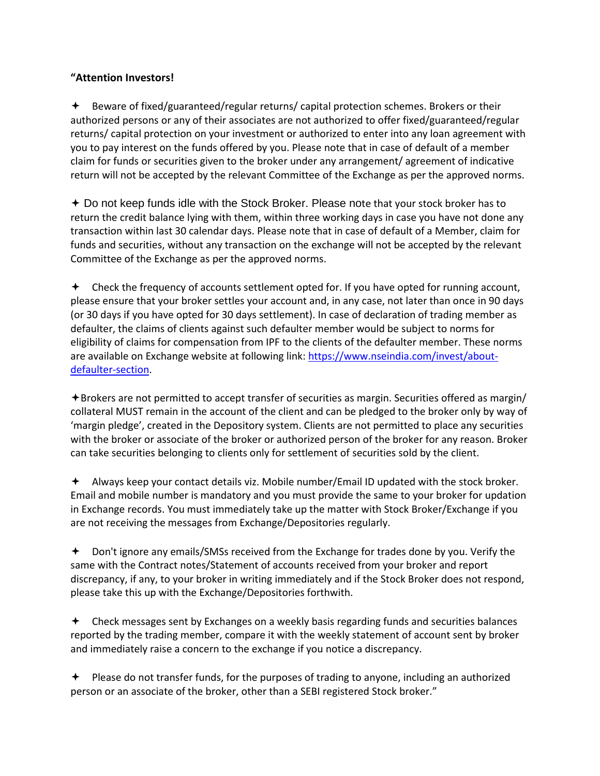## **"Attention Investors!**

 Beware of fixed/guaranteed/regular returns/ capital protection schemes. Brokers or their authorized persons or any of their associates are not authorized to offer fixed/guaranteed/regular returns/ capital protection on your investment or authorized to enter into any loan agreement with you to pay interest on the funds offered by you. Please note that in case of default of a member claim for funds or securities given to the broker under any arrangement/ agreement of indicative return will not be accepted by the relevant Committee of the Exchange as per the approved norms.

 Do not keep funds idle with the Stock Broker. Please note that your stock broker has to return the credit balance lying with them, within three working days in case you have not done any transaction within last 30 calendar days. Please note that in case of default of a Member, claim for funds and securities, without any transaction on the exchange will not be accepted by the relevant Committee of the Exchange as per the approved norms.

 $\triangleq$  Check the frequency of accounts settlement opted for. If you have opted for running account, please ensure that your broker settles your account and, in any case, not later than once in 90 days (or 30 days if you have opted for 30 days settlement). In case of declaration of trading member as defaulter, the claims of clients against such defaulter member would be subject to norms for eligibility of claims for compensation from IPF to the clients of the defaulter member. These norms are available on Exchange website at following link: [https://www.nseindia.com/invest/about](https://www.nseindia.com/invest/about-defaulter-section)[defaulter-section.](https://www.nseindia.com/invest/about-defaulter-section)

 $\triangle$ Brokers are not permitted to accept transfer of securities as margin. Securities offered as margin/ collateral MUST remain in the account of the client and can be pledged to the broker only by way of 'margin pledge', created in the Depository system. Clients are not permitted to place any securities with the broker or associate of the broker or authorized person of the broker for any reason. Broker can take securities belonging to clients only for settlement of securities sold by the client.

 Always keep your contact details viz. Mobile number/Email ID updated with the stock broker. Email and mobile number is mandatory and you must provide the same to your broker for updation in Exchange records. You must immediately take up the matter with Stock Broker/Exchange if you are not receiving the messages from Exchange/Depositories regularly.

 Don't ignore any emails/SMSs received from the Exchange for trades done by you. Verify the same with the Contract notes/Statement of accounts received from your broker and report discrepancy, if any, to your broker in writing immediately and if the Stock Broker does not respond, please take this up with the Exchange/Depositories forthwith.

 Check messages sent by Exchanges on a weekly basis regarding funds and securities balances reported by the trading member, compare it with the weekly statement of account sent by broker and immediately raise a concern to the exchange if you notice a discrepancy.

 $\triangleq$  Please do not transfer funds, for the purposes of trading to anyone, including an authorized person or an associate of the broker, other than a SEBI registered Stock broker."